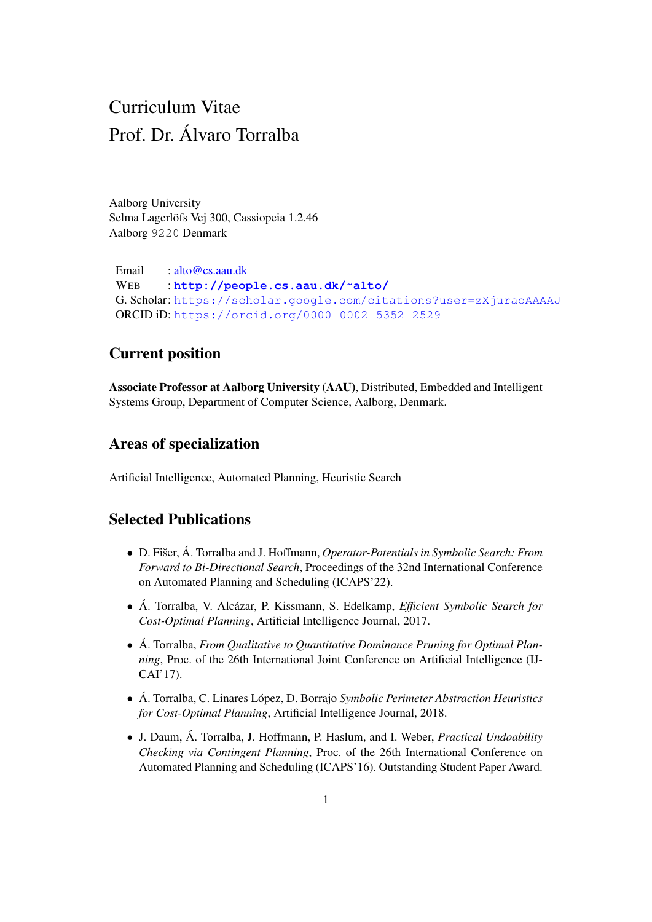# Curriculum Vitae Prof. Dr. Alvaro Torralba ´

Aalborg University Selma Lagerlöfs Vej 300, Cassiopeia 1.2.46 Aalborg 9220 Denmark

Email : [alto@cs.aau.dk](mailto:alto@cs.aau.dk) WEB : **[http://people.cs.aau.dk/˜alto/](http://people.cs.aau.dk/~alto/)** G. Scholar: <https://scholar.google.com/citations?user=zXjuraoAAAAJ> ORCID iD: <https://orcid.org/0000-0002-5352-2529>

# Current position

Associate Professor at Aalborg University (AAU), Distributed, Embedded and Intelligent Systems Group, Department of Computer Science, Aalborg, Denmark.

# Areas of specialization

Artificial Intelligence, Automated Planning, Heuristic Search

### Selected Publications

- D. Fišer, Á. Torralba and J. Hoffmann, *Operator-Potentials in Symbolic Search: From Forward to Bi-Directional Search*, Proceedings of the 32nd International Conference on Automated Planning and Scheduling (ICAPS'22).
- Á. Torralba, V. Alcázar, P. Kissmann, S. Edelkamp, *Efficient Symbolic Search for Cost-Optimal Planning*, Artificial Intelligence Journal, 2017.
- Á. Torralba, *From Qualitative to Quantitative Dominance Pruning for Optimal Planning*, Proc. of the 26th International Joint Conference on Artificial Intelligence (IJ-CAI'17).
- Á. Torralba, C. Linares López, D. Borrajo Symbolic Perimeter Abstraction Heuristics *for Cost-Optimal Planning*, Artificial Intelligence Journal, 2018.
- J. Daum, Á. Torralba, J. Hoffmann, P. Haslum, and I. Weber, *Practical Undoability Checking via Contingent Planning*, Proc. of the 26th International Conference on Automated Planning and Scheduling (ICAPS'16). Outstanding Student Paper Award.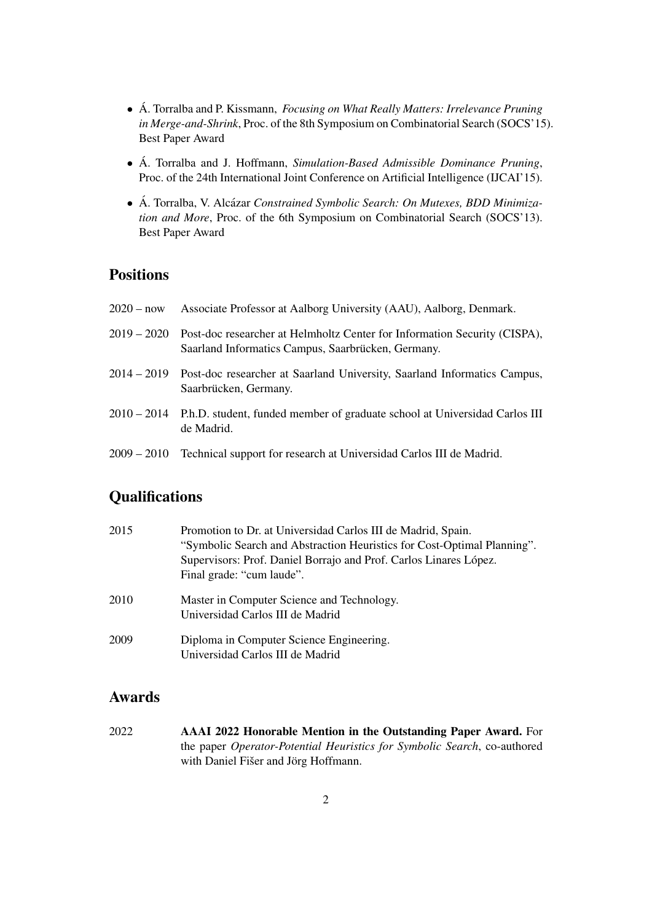- Á. Torralba and P. Kissmann, *Focusing on What Really Matters: Irrelevance Pruning in Merge-and-Shrink*, Proc. of the 8th Symposium on Combinatorial Search (SOCS'15). Best Paper Award
- Á. Torralba and J. Hoffmann, *Simulation-Based Admissible Dominance Pruning*, Proc. of the 24th International Joint Conference on Artificial Intelligence (IJCAI'15).
- Á. Torralba, V. Alcázar *Constrained Symbolic Search: On Mutexes, BDD Minimization and More*, Proc. of the 6th Symposium on Combinatorial Search (SOCS'13). Best Paper Award

### **Positions**

- 2020 now Associate Professor at Aalborg University (AAU), Aalborg, Denmark. 2019 – 2020 Post-doc researcher at Helmholtz Center for Information Security (CISPA), Saarland Informatics Campus, Saarbrücken, Germany. 2014 – 2019 Post-doc researcher at Saarland University, Saarland Informatics Campus, Saarbrücken, Germany.
- 2010 2014 P.h.D. student, funded member of graduate school at Universidad Carlos III de Madrid.
- 2009 2010 Technical support for research at Universidad Carlos III de Madrid.

# **Oualifications**

| 2015 | Promotion to Dr. at Universidad Carlos III de Madrid, Spain.            |
|------|-------------------------------------------------------------------------|
|      | "Symbolic Search and Abstraction Heuristics for Cost-Optimal Planning". |
|      | Supervisors: Prof. Daniel Borrajo and Prof. Carlos Linares López.       |
|      | Final grade: "cum laude".                                               |
| 2010 | Master in Computer Science and Technology.                              |
|      | Universidad Carlos III de Madrid                                        |
| 2009 | Diploma in Computer Science Engineering.                                |
|      | Universidad Carlos III de Madrid                                        |

### Awards

2022 AAAI 2022 Honorable Mention in the Outstanding Paper Award. For the paper *Operator-Potential Heuristics for Symbolic Search*, co-authored with Daniel Fišer and Jörg Hoffmann.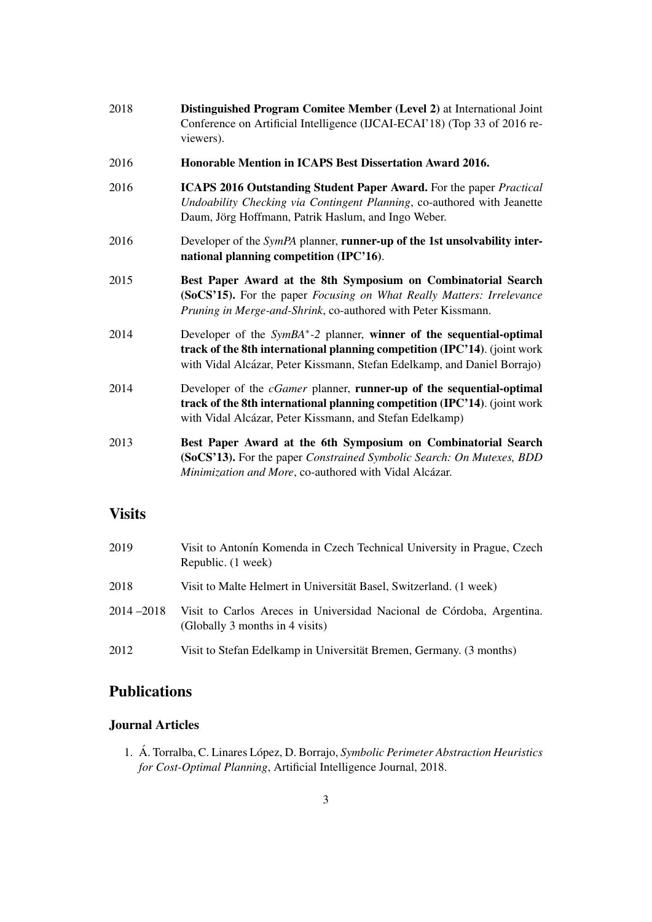| 2018 | Distinguished Program Comitee Member (Level 2) at International Joint     |
|------|---------------------------------------------------------------------------|
|      | Conference on Artificial Intelligence (IJCAI-ECAI'18) (Top 33 of 2016 re- |
|      | viewers).                                                                 |

- 2016 Honorable Mention in ICAPS Best Dissertation Award 2016.
- 2016 ICAPS 2016 Outstanding Student Paper Award. For the paper *Practical Undoability Checking via Contingent Planning*, co-authored with Jeanette Daum, Jörg Hoffmann, Patrik Haslum, and Ingo Weber.
- 2016 Developer of the *SymPA* planner, runner-up of the 1st unsolvability international planning competition (IPC'16).
- 2015 Best Paper Award at the 8th Symposium on Combinatorial Search (SoCS'15). For the paper *Focusing on What Really Matters: Irrelevance Pruning in Merge-and-Shrink*, co-authored with Peter Kissmann.
- 2014 Developer of the *SymBA*<sup>\*</sup>-2 planner, winner of the sequential-optimal track of the 8th international planning competition (IPC'14). (joint work with Vidal Alcázar, Peter Kissmann, Stefan Edelkamp, and Daniel Borrajo)
- 2014 Developer of the *cGamer* planner, runner-up of the sequential-optimal track of the 8th international planning competition (IPC'14). (joint work with Vidal Alcázar, Peter Kissmann, and Stefan Edelkamp)
- 2013 Best Paper Award at the 6th Symposium on Combinatorial Search (SoCS'13). For the paper *Constrained Symbolic Search: On Mutexes, BDD Minimization and More*, co-authored with Vidal Alcázar.

### **Visits**

| 2019      | Visit to Antonín Komenda in Czech Technical University in Prague, Czech<br>Republic. (1 week)            |
|-----------|----------------------------------------------------------------------------------------------------------|
| 2018      | Visit to Malte Helmert in Universität Basel, Switzerland. (1 week)                                       |
| 2014-2018 | Visit to Carlos Areces in Universidad Nacional de Córdoba, Argentina.<br>(Globally 3 months in 4 visits) |
| 2012      | Visit to Stefan Edelkamp in Universität Bremen, Germany. (3 months)                                      |

# **Publications**

### Journal Articles

1. Á. Torralba, C. Linares López, D. Borrajo, *Symbolic Perimeter Abstraction Heuristics for Cost-Optimal Planning*, Artificial Intelligence Journal, 2018.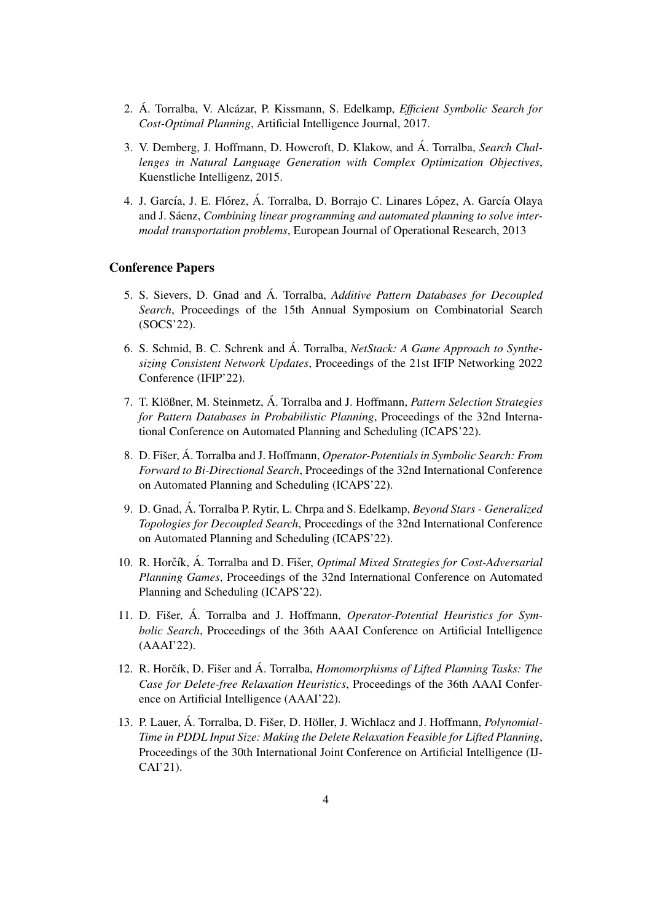- 2. Á. Torralba, V. Alcázar, P. Kissmann, S. Edelkamp, *Efficient Symbolic Search for Cost-Optimal Planning*, Artificial Intelligence Journal, 2017.
- 3. V. Demberg, J. Hoffmann, D. Howcroft, D. Klakow, and Á. Torralba, *Search Challenges in Natural Language Generation with Complex Optimization Objectives*, Kuenstliche Intelligenz, 2015.
- 4. J. García, J. E. Flórez, Á. Torralba, D. Borrajo C. Linares López, A. García Olaya and J. Sáenz, *Combining linear programming and automated planning to solve intermodal transportation problems*, European Journal of Operational Research, 2013

#### Conference Papers

- 5. S. Sievers, D. Gnad and A. Torralba, ´ *Additive Pattern Databases for Decoupled Search*, Proceedings of the 15th Annual Symposium on Combinatorial Search (SOCS'22).
- 6. S. Schmid, B. C. Schrenk and A. Torralba, *NetStack: A Game Approach to Synthesizing Consistent Network Updates*, Proceedings of the 21st IFIP Networking 2022 Conference (IFIP'22).
- 7. T. Klößner, M. Steinmetz, Á. Torralba and J. Hoffmann, *Pattern Selection Strategies for Pattern Databases in Probabilistic Planning*, Proceedings of the 32nd International Conference on Automated Planning and Scheduling (ICAPS'22).
- 8. D. Fišer, Á. Torralba and J. Hoffmann, *Operator-Potentials in Symbolic Search: From Forward to Bi-Directional Search*, Proceedings of the 32nd International Conference on Automated Planning and Scheduling (ICAPS'22).
- 9. D. Gnad, Á. Torralba P. Rytir, L. Chrpa and S. Edelkamp, Beyond Stars Generalized *Topologies for Decoupled Search*, Proceedings of the 32nd International Conference on Automated Planning and Scheduling (ICAPS'22).
- 10. R. Horčík, Á. Torralba and D. Fišer, *Optimal Mixed Strategies for Cost-Adversarial Planning Games*, Proceedings of the 32nd International Conference on Automated Planning and Scheduling (ICAPS'22).
- 11. D. Fišer, Á. Torralba and J. Hoffmann, *Operator-Potential Heuristics for Symbolic Search*, Proceedings of the 36th AAAI Conference on Artificial Intelligence (AAAI'22).
- 12. R. Horčík, D. Fišer and Á. Torralba, *Homomorphisms of Lifted Planning Tasks: The Case for Delete-free Relaxation Heuristics*, Proceedings of the 36th AAAI Conference on Artificial Intelligence (AAAI'22).
- 13. P. Lauer, Á. Torralba, D. Fišer, D. Höller, J. Wichlacz and J. Hoffmann, *Polynomial-Time in PDDL Input Size: Making the Delete Relaxation Feasible for Lifted Planning*, Proceedings of the 30th International Joint Conference on Artificial Intelligence (IJ-CAI'21).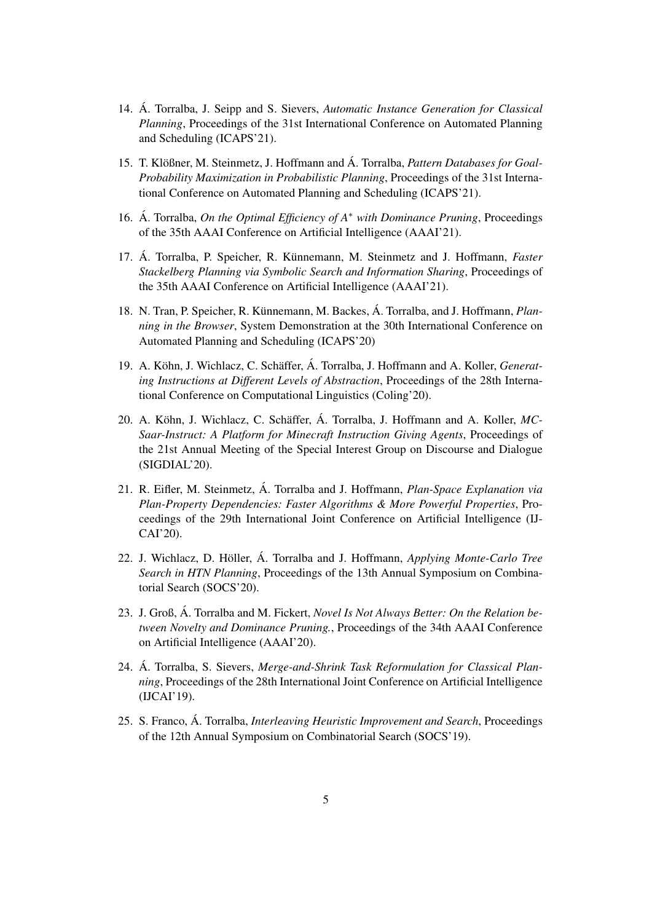- 14. Á. Torralba, J. Seipp and S. Sievers, *Automatic Instance Generation for Classical Planning*, Proceedings of the 31st International Conference on Automated Planning and Scheduling (ICAPS'21).
- 15. T. Klößner, M. Steinmetz, J. Hoffmann and Á. Torralba, *Pattern Databases for Goal-Probability Maximization in Probabilistic Planning*, Proceedings of the 31st International Conference on Automated Planning and Scheduling (ICAPS'21).
- 16. A. Torralba, *On the Optimal Efficiency of A<sup>∗</sup> with Dominance Pruning*, Proceedings of the 35th AAAI Conference on Artificial Intelligence (AAAI'21).
- 17. Á. Torralba, P. Speicher, R. Künnemann, M. Steinmetz and J. Hoffmann, *Faster Stackelberg Planning via Symbolic Search and Information Sharing*, Proceedings of the 35th AAAI Conference on Artificial Intelligence (AAAI'21).
- 18. N. Tran, P. Speicher, R. Künnemann, M. Backes, Á. Torralba, and J. Hoffmann, *Planning in the Browser*, System Demonstration at the 30th International Conference on Automated Planning and Scheduling (ICAPS'20)
- 19. A. Köhn, J. Wichlacz, C. Schäffer, Á. Torralba, J. Hoffmann and A. Koller, *Generating Instructions at Different Levels of Abstraction*, Proceedings of the 28th International Conference on Computational Linguistics (Coling'20).
- 20. A. Köhn, J. Wichlacz, C. Schäffer, Á. Torralba, J. Hoffmann and A. Koller, *MC*-*Saar-Instruct: A Platform for Minecraft Instruction Giving Agents*, Proceedings of the 21st Annual Meeting of the Special Interest Group on Discourse and Dialogue (SIGDIAL'20).
- 21. R. Eifler, M. Steinmetz, A. Torralba and J. Hoffmann, ´ *Plan-Space Explanation via Plan-Property Dependencies: Faster Algorithms & More Powerful Properties*, Proceedings of the 29th International Joint Conference on Artificial Intelligence (IJ-CAI'20).
- 22. J. Wichlacz, D. Höller, A. Torralba and J. Hoffmann, *Applying Monte-Carlo Tree Search in HTN Planning*, Proceedings of the 13th Annual Symposium on Combinatorial Search (SOCS'20).
- 23. J. Groß, Á. Torralba and M. Fickert, *Novel Is Not Always Better: On the Relation between Novelty and Dominance Pruning.*, Proceedings of the 34th AAAI Conference on Artificial Intelligence (AAAI'20).
- 24. Á. Torralba, S. Sievers, *Merge-and-Shrink Task Reformulation for Classical Planning*, Proceedings of the 28th International Joint Conference on Artificial Intelligence (IJCAI'19).
- 25. S. Franco, Á. Torralba, *Interleaving Heuristic Improvement and Search*, Proceedings of the 12th Annual Symposium on Combinatorial Search (SOCS'19).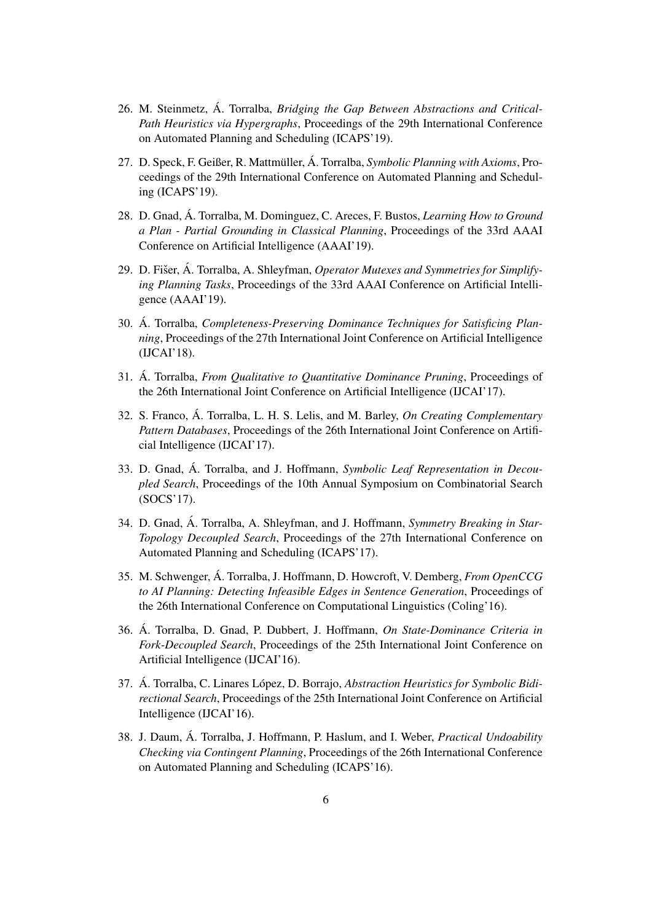- 26. M. Steinmetz, A. Torralba, *Bridging the Gap Between Abstractions and Critical-Path Heuristics via Hypergraphs*, Proceedings of the 29th International Conference on Automated Planning and Scheduling (ICAPS'19).
- 27. D. Speck, F. Geißer, R. Mattmüller, Á. Torralba, *Symbolic Planning with Axioms*, Proceedings of the 29th International Conference on Automated Planning and Scheduling (ICAPS'19).
- 28. D. Gnad, Á. Torralba, M. Dominguez, C. Areces, F. Bustos, *Learning How to Ground a Plan - Partial Grounding in Classical Planning*, Proceedings of the 33rd AAAI Conference on Artificial Intelligence (AAAI'19).
- 29. D. Fišer, Á. Torralba, A. Shleyfman, *Operator Mutexes and Symmetries for Simplifying Planning Tasks*, Proceedings of the 33rd AAAI Conference on Artificial Intelligence (AAAI'19).
- 30. A. Torralba, ´ *Completeness-Preserving Dominance Techniques for Satisficing Planning*, Proceedings of the 27th International Joint Conference on Artificial Intelligence (IJCAI'18).
- 31. A. Torralba, ´ *From Qualitative to Quantitative Dominance Pruning*, Proceedings of the 26th International Joint Conference on Artificial Intelligence (IJCAI'17).
- 32. S. Franco, A. Torralba, L. H. S. Lelis, and M. Barley, ´ *On Creating Complementary Pattern Databases*, Proceedings of the 26th International Joint Conference on Artificial Intelligence (IJCAI'17).
- 33. D. Gnad, Á. Torralba, and J. Hoffmann, Symbolic Leaf Representation in Decou*pled Search*, Proceedings of the 10th Annual Symposium on Combinatorial Search (SOCS'17).
- 34. D. Gnad, Á. Torralba, A. Shleyfman, and J. Hoffmann, *Symmetry Breaking in Star-Topology Decoupled Search*, Proceedings of the 27th International Conference on Automated Planning and Scheduling (ICAPS'17).
- 35. M. Schwenger, A. Torralba, J. Hoffmann, D. Howcroft, V. Demberg, *From OpenCCG to AI Planning: Detecting Infeasible Edges in Sentence Generation*, Proceedings of the 26th International Conference on Computational Linguistics (Coling'16).
- 36. A. Torralba, D. Gnad, P. Dubbert, J. Hoffmann, ´ *On State-Dominance Criteria in Fork-Decoupled Search*, Proceedings of the 25th International Joint Conference on Artificial Intelligence (IJCAI'16).
- 37. A. Torralba, C. Linares López, D. Borrajo, *Abstraction Heuristics for Symbolic Bidirectional Search*, Proceedings of the 25th International Joint Conference on Artificial Intelligence (IJCAI'16).
- 38. J. Daum, A. Torralba, J. Hoffmann, P. Haslum, and I. Weber, ´ *Practical Undoability Checking via Contingent Planning*, Proceedings of the 26th International Conference on Automated Planning and Scheduling (ICAPS'16).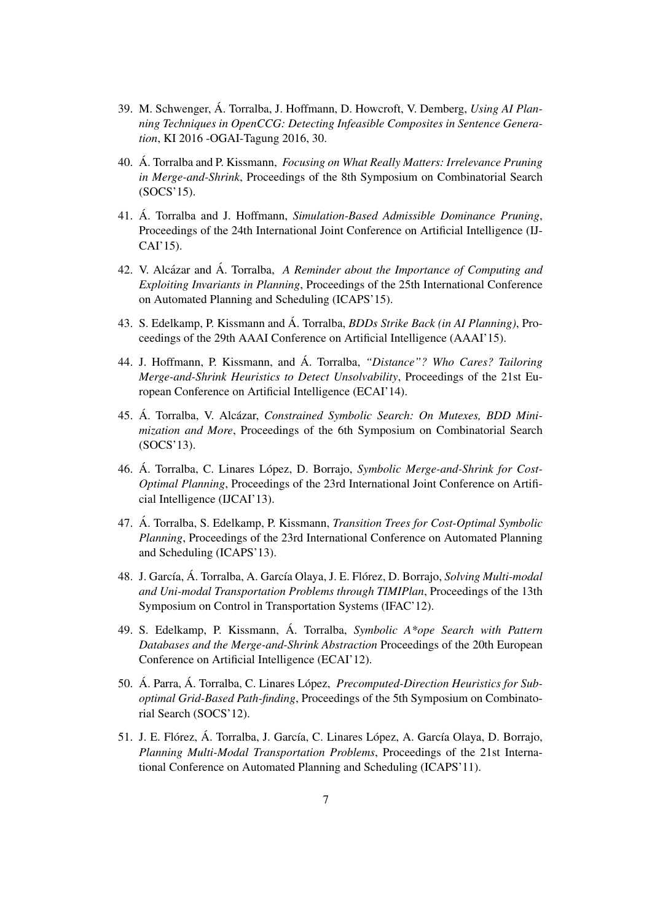- 39. M. Schwenger, A. Torralba, J. Hoffmann, D. Howcroft, V. Demberg, ´ *Using AI Planning Techniques in OpenCCG: Detecting Infeasible Composites in Sentence Generation*, KI 2016 -OGAI-Tagung 2016, 30.
- 40. A. Torralba and P. Kissmann, *Focusing on What Really Matters: Irrelevance Pruning in Merge-and-Shrink*, Proceedings of the 8th Symposium on Combinatorial Search (SOCS'15).
- 41. A. Torralba and J. Hoffmann, *Simulation-Based Admissible Dominance Pruning*, Proceedings of the 24th International Joint Conference on Artificial Intelligence (IJ-CAI'15).
- 42. V. Alcázar and Á. Torralba, A Reminder about the Importance of Computing and *Exploiting Invariants in Planning*, Proceedings of the 25th International Conference on Automated Planning and Scheduling (ICAPS'15).
- 43. S. Edelkamp, P. Kissmann and A. Torralba, ´ *BDDs Strike Back (in AI Planning)*, Proceedings of the 29th AAAI Conference on Artificial Intelligence (AAAI'15).
- 44. J. Hoffmann, P. Kissmann, and A. Torralba, ´ *"Distance"? Who Cares? Tailoring Merge-and-Shrink Heuristics to Detect Unsolvability*, Proceedings of the 21st European Conference on Artificial Intelligence (ECAI'14).
- 45. Á. Torralba, V. Alcázar, *Constrained Symbolic Search: On Mutexes, BDD Minimization and More*, Proceedings of the 6th Symposium on Combinatorial Search (SOCS'13).
- 46. Á. Torralba, C. Linares López, D. Borrajo, *Symbolic Merge-and-Shrink for Cost-Optimal Planning*, Proceedings of the 23rd International Joint Conference on Artificial Intelligence (IJCAI'13).
- 47. A. Torralba, S. Edelkamp, P. Kissmann, ´ *Transition Trees for Cost-Optimal Symbolic Planning*, Proceedings of the 23rd International Conference on Automated Planning and Scheduling (ICAPS'13).
- 48. J. García, Á. Torralba, A. García Olaya, J. E. Flórez, D. Borrajo, Solving Multi-modal *and Uni-modal Transportation Problems through TIMIPlan*, Proceedings of the 13th Symposium on Control in Transportation Systems (IFAC'12).
- 49. S. Edelkamp, P. Kissmann, A. Torralba, ´ *Symbolic A\*ope Search with Pattern Databases and the Merge-and-Shrink Abstraction* Proceedings of the 20th European Conference on Artificial Intelligence (ECAI'12).
- 50. Á. Parra, Á. Torralba, C. Linares López, *Precomputed-Direction Heuristics for Suboptimal Grid-Based Path-finding*, Proceedings of the 5th Symposium on Combinatorial Search (SOCS'12).
- 51. J. E. Flórez, Á. Torralba, J. García, C. Linares López, A. García Olaya, D. Borrajo, *Planning Multi-Modal Transportation Problems*, Proceedings of the 21st International Conference on Automated Planning and Scheduling (ICAPS'11).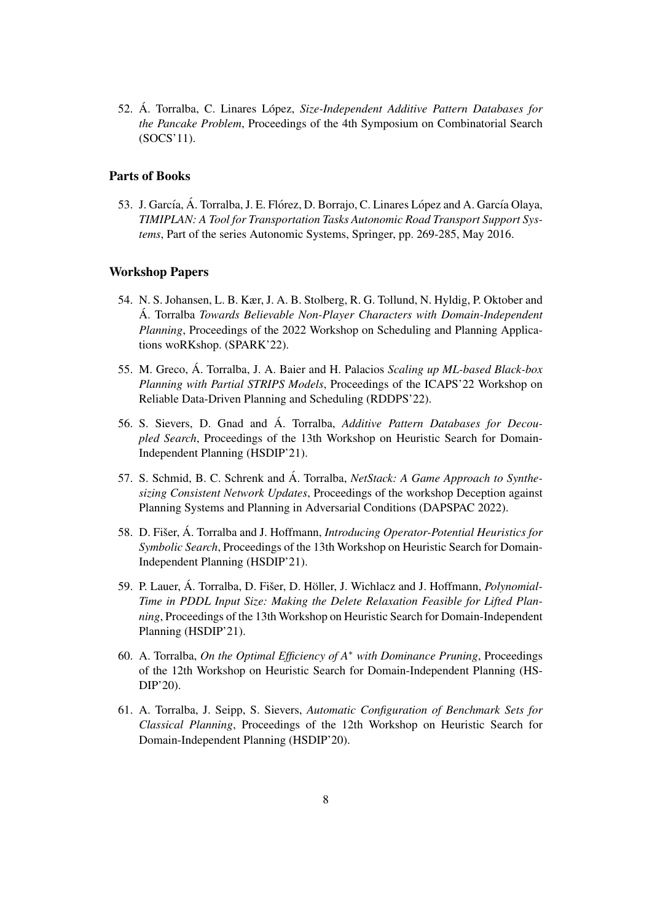52. Á. Torralba, C. Linares López, Size-Independent Additive Pattern Databases for *the Pancake Problem*, Proceedings of the 4th Symposium on Combinatorial Search (SOCS'11).

### Parts of Books

53. J. García, Á. Torralba, J. E. Flórez, D. Borrajo, C. Linares López and A. García Olaya, *TIMIPLAN: A Tool for Transportation Tasks Autonomic Road Transport Support Systems*, Part of the series Autonomic Systems, Springer, pp. 269-285, May 2016.

#### Workshop Papers

- 54. N. S. Johansen, L. B. Kær, J. A. B. Stolberg, R. G. Tollund, N. Hyldig, P. Oktober and A. Torralba ´ *Towards Believable Non-Player Characters with Domain-Independent Planning*, Proceedings of the 2022 Workshop on Scheduling and Planning Applications woRKshop. (SPARK'22).
- 55. M. Greco, A. Torralba, J. A. Baier and H. Palacios ´ *Scaling up ML-based Black-box Planning with Partial STRIPS Models*, Proceedings of the ICAPS'22 Workshop on Reliable Data-Driven Planning and Scheduling (RDDPS'22).
- 56. S. Sievers, D. Gnad and A. Torralba, ´ *Additive Pattern Databases for Decoupled Search*, Proceedings of the 13th Workshop on Heuristic Search for Domain-Independent Planning (HSDIP'21).
- 57. S. Schmid, B. C. Schrenk and Á. Torralba, *NetStack: A Game Approach to Synthesizing Consistent Network Updates*, Proceedings of the workshop Deception against Planning Systems and Planning in Adversarial Conditions (DAPSPAC 2022).
- 58. D. Fišer, Á. Torralba and J. Hoffmann, *Introducing Operator-Potential Heuristics for Symbolic Search*, Proceedings of the 13th Workshop on Heuristic Search for Domain-Independent Planning (HSDIP'21).
- 59. P. Lauer, Á. Torralba, D. Fišer, D. Höller, J. Wichlacz and J. Hoffmann, *Polynomial-Time in PDDL Input Size: Making the Delete Relaxation Feasible for Lifted Planning*, Proceedings of the 13th Workshop on Heuristic Search for Domain-Independent Planning (HSDIP'21).
- 60. A. Torralba, *On the Optimal Efficiency of A*<sup>∗</sup> *with Dominance Pruning*, Proceedings of the 12th Workshop on Heuristic Search for Domain-Independent Planning (HS-DIP'20).
- 61. A. Torralba, J. Seipp, S. Sievers, *Automatic Configuration of Benchmark Sets for Classical Planning*, Proceedings of the 12th Workshop on Heuristic Search for Domain-Independent Planning (HSDIP'20).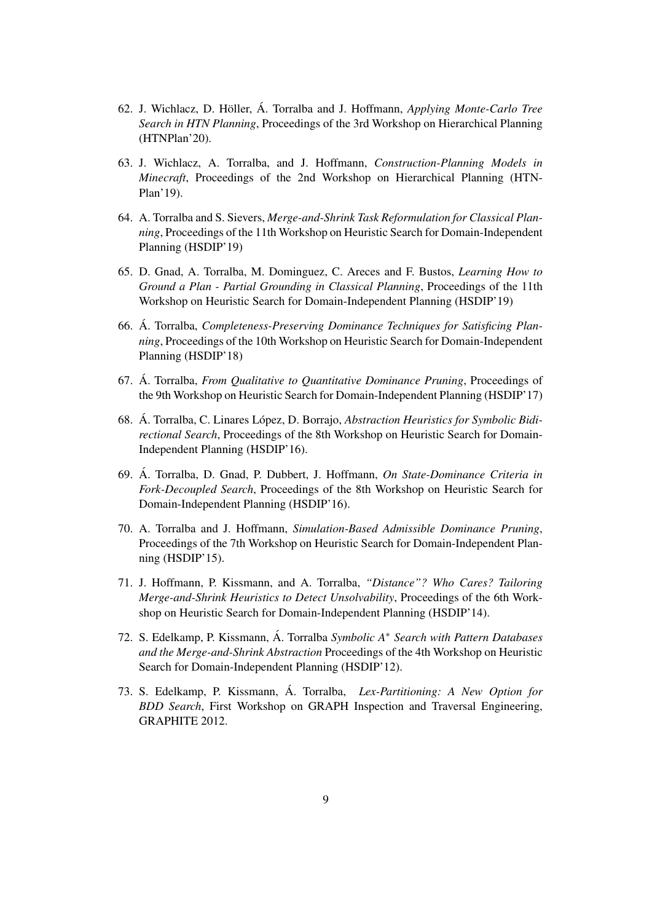- 62. J. Wichlacz, D. Höller, Á. Torralba and J. Hoffmann, *Applying Monte-Carlo Tree Search in HTN Planning*, Proceedings of the 3rd Workshop on Hierarchical Planning (HTNPlan'20).
- 63. J. Wichlacz, A. Torralba, and J. Hoffmann, *Construction-Planning Models in Minecraft*, Proceedings of the 2nd Workshop on Hierarchical Planning (HTN-Plan'19).
- 64. A. Torralba and S. Sievers, *Merge-and-Shrink Task Reformulation for Classical Planning*, Proceedings of the 11th Workshop on Heuristic Search for Domain-Independent Planning (HSDIP'19)
- 65. D. Gnad, A. Torralba, M. Dominguez, C. Areces and F. Bustos, *Learning How to Ground a Plan - Partial Grounding in Classical Planning*, Proceedings of the 11th Workshop on Heuristic Search for Domain-Independent Planning (HSDIP'19)
- 66. A. Torralba, ´ *Completeness-Preserving Dominance Techniques for Satisficing Planning*, Proceedings of the 10th Workshop on Heuristic Search for Domain-Independent Planning (HSDIP'18)
- 67. A. Torralba, ´ *From Qualitative to Quantitative Dominance Pruning*, Proceedings of the 9th Workshop on Heuristic Search for Domain-Independent Planning (HSDIP'17)
- 68. Á. Torralba, C. Linares López, D. Borrajo, *Abstraction Heuristics for Symbolic Bidirectional Search*, Proceedings of the 8th Workshop on Heuristic Search for Domain-Independent Planning (HSDIP'16).
- 69. A. Torralba, D. Gnad, P. Dubbert, J. Hoffmann, ´ *On State-Dominance Criteria in Fork-Decoupled Search*, Proceedings of the 8th Workshop on Heuristic Search for Domain-Independent Planning (HSDIP'16).
- 70. A. Torralba and J. Hoffmann, *Simulation-Based Admissible Dominance Pruning*, Proceedings of the 7th Workshop on Heuristic Search for Domain-Independent Planning (HSDIP'15).
- 71. J. Hoffmann, P. Kissmann, and A. Torralba, *"Distance"? Who Cares? Tailoring Merge-and-Shrink Heuristics to Detect Unsolvability*, Proceedings of the 6th Workshop on Heuristic Search for Domain-Independent Planning (HSDIP'14).
- 72. S. Edelkamp, P. Kissmann, A. Torralba ´ *Symbolic A*<sup>∗</sup> *Search with Pattern Databases and the Merge-and-Shrink Abstraction* Proceedings of the 4th Workshop on Heuristic Search for Domain-Independent Planning (HSDIP'12).
- 73. S. Edelkamp, P. Kissmann, A. Torralba, ´ *Lex-Partitioning: A New Option for BDD Search*, First Workshop on GRAPH Inspection and Traversal Engineering, GRAPHITE 2012.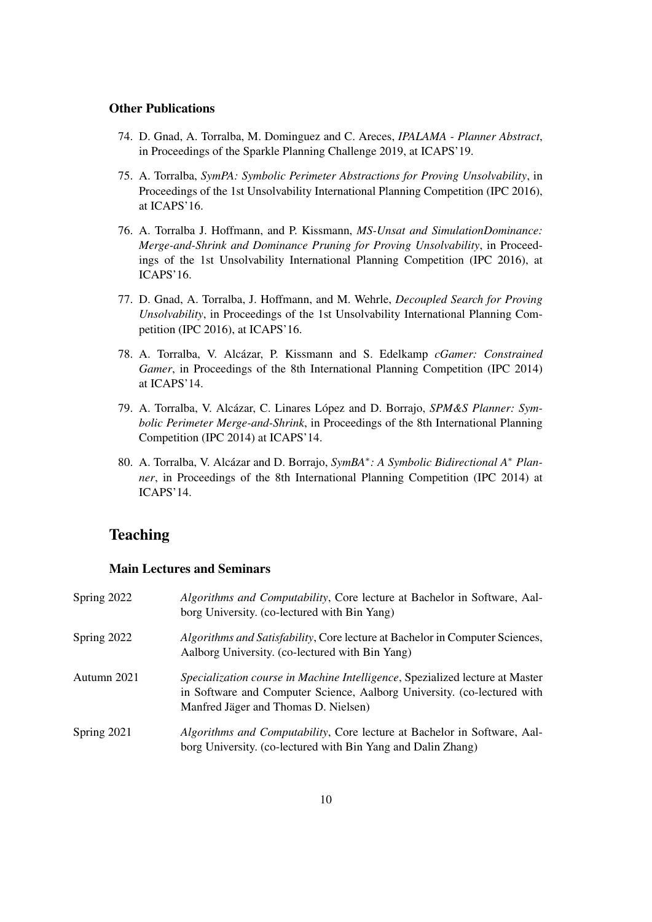#### Other Publications

- 74. D. Gnad, A. Torralba, M. Dominguez and C. Areces, *IPALAMA Planner Abstract*, in Proceedings of the Sparkle Planning Challenge 2019, at ICAPS'19.
- 75. A. Torralba, *SymPA: Symbolic Perimeter Abstractions for Proving Unsolvability*, in Proceedings of the 1st Unsolvability International Planning Competition (IPC 2016), at ICAPS'16.
- 76. A. Torralba J. Hoffmann, and P. Kissmann, *MS-Unsat and SimulationDominance: Merge-and-Shrink and Dominance Pruning for Proving Unsolvability*, in Proceedings of the 1st Unsolvability International Planning Competition (IPC 2016), at ICAPS'16.
- 77. D. Gnad, A. Torralba, J. Hoffmann, and M. Wehrle, *Decoupled Search for Proving Unsolvability*, in Proceedings of the 1st Unsolvability International Planning Competition (IPC 2016), at ICAPS'16.
- 78. A. Torralba, V. Alcázar, P. Kissmann and S. Edelkamp *cGamer: Constrained Gamer*, in Proceedings of the 8th International Planning Competition (IPC 2014) at ICAPS'14.
- 79. A. Torralba, V. Alcázar, C. Linares López and D. Borrajo, *SPM&S Planner: Symbolic Perimeter Merge-and-Shrink*, in Proceedings of the 8th International Planning Competition (IPC 2014) at ICAPS'14.
- 80. A. Torralba, V. Alcázar and D. Borrajo, SymBA<sup>∗</sup>: A Symbolic Bidirectional A<sup>∗</sup> Plan*ner*, in Proceedings of the 8th International Planning Competition (IPC 2014) at ICAPS'14.

### **Teaching**

### Main Lectures and Seminars

| Spring 2022   | Algorithms and Computability, Core lecture at Bachelor in Software, Aal-<br>borg University. (co-lectured with Bin Yang)                                                                        |
|---------------|-------------------------------------------------------------------------------------------------------------------------------------------------------------------------------------------------|
| Spring $2022$ | Algorithms and Satisfability, Core lecture at Bachelor in Computer Sciences,<br>Aalborg University. (co-lectured with Bin Yang)                                                                 |
| Autumn 2021   | Specialization course in Machine Intelligence, Spezialized lecture at Master<br>in Software and Computer Science, Aalborg University. (co-lectured with<br>Manfred Jäger and Thomas D. Nielsen) |
| Spring 2021   | <i>Algorithms and Computability, Core lecture at Bachelor in Software, Aal-</i><br>borg University. (co-lectured with Bin Yang and Dalin Zhang)                                                 |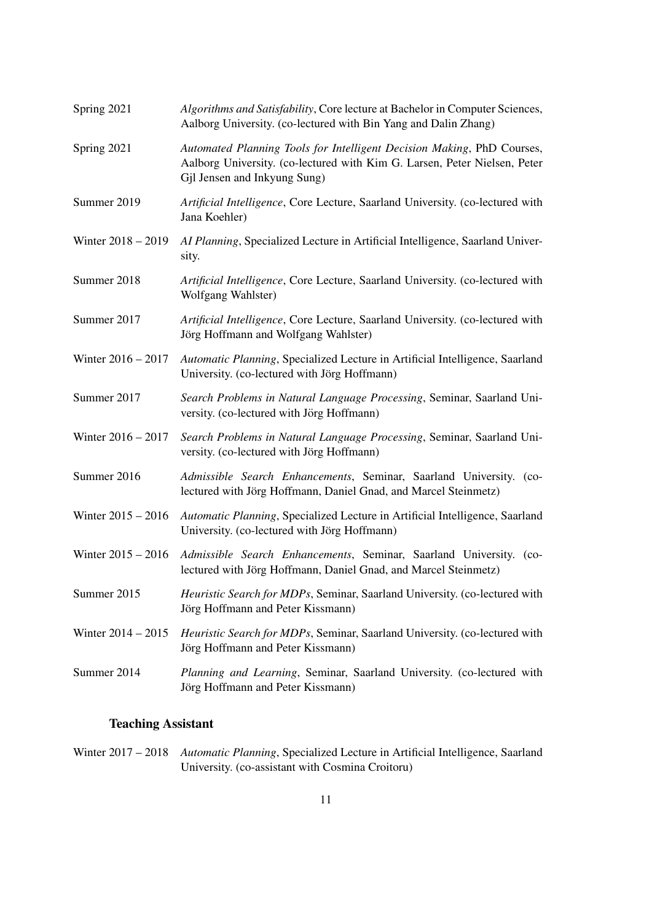| Spring 2021          | Algorithms and Satisfability, Core lecture at Bachelor in Computer Sciences,<br>Aalborg University. (co-lectured with Bin Yang and Dalin Zhang)                                     |
|----------------------|-------------------------------------------------------------------------------------------------------------------------------------------------------------------------------------|
| Spring 2021          | Automated Planning Tools for Intelligent Decision Making, PhD Courses,<br>Aalborg University. (co-lectured with Kim G. Larsen, Peter Nielsen, Peter<br>Gjl Jensen and Inkyung Sung) |
| Summer 2019          | Artificial Intelligence, Core Lecture, Saarland University. (co-lectured with<br>Jana Koehler)                                                                                      |
| Winter $2018 - 2019$ | AI Planning, Specialized Lecture in Artificial Intelligence, Saarland Univer-<br>sity.                                                                                              |
| Summer 2018          | Artificial Intelligence, Core Lecture, Saarland University. (co-lectured with<br>Wolfgang Wahlster)                                                                                 |
| Summer 2017          | Artificial Intelligence, Core Lecture, Saarland University. (co-lectured with<br>Jörg Hoffmann and Wolfgang Wahlster)                                                               |
| Winter 2016 - 2017   | Automatic Planning, Specialized Lecture in Artificial Intelligence, Saarland<br>University. (co-lectured with Jörg Hoffmann)                                                        |
| Summer 2017          | Search Problems in Natural Language Processing, Seminar, Saarland Uni-<br>versity. (co-lectured with Jörg Hoffmann)                                                                 |
| Winter 2016 - 2017   | Search Problems in Natural Language Processing, Seminar, Saarland Uni-<br>versity. (co-lectured with Jörg Hoffmann)                                                                 |
| Summer 2016          | Admissible Search Enhancements, Seminar, Saarland University. (co-<br>lectured with Jörg Hoffmann, Daniel Gnad, and Marcel Steinmetz)                                               |
| Winter $2015 - 2016$ | Automatic Planning, Specialized Lecture in Artificial Intelligence, Saarland<br>University. (co-lectured with Jörg Hoffmann)                                                        |
| Winter $2015 - 2016$ | Admissible Search Enhancements, Seminar, Saarland University. (co-<br>lectured with Jörg Hoffmann, Daniel Gnad, and Marcel Steinmetz)                                               |
| Summer 2015          | Heuristic Search for MDPs, Seminar, Saarland University. (co-lectured with<br>Jörg Hoffmann and Peter Kissmann)                                                                     |
| Winter $2014 - 2015$ | Heuristic Search for MDPs, Seminar, Saarland University. (co-lectured with<br>Jörg Hoffmann and Peter Kissmann)                                                                     |
| Summer 2014          | Planning and Learning, Seminar, Saarland University. (co-lectured with<br>Jörg Hoffmann and Peter Kissmann)                                                                         |
|                      |                                                                                                                                                                                     |

# Teaching Assistant

Winter 2017 – 2018 *Automatic Planning*, Specialized Lecture in Artificial Intelligence, Saarland University. (co-assistant with Cosmina Croitoru)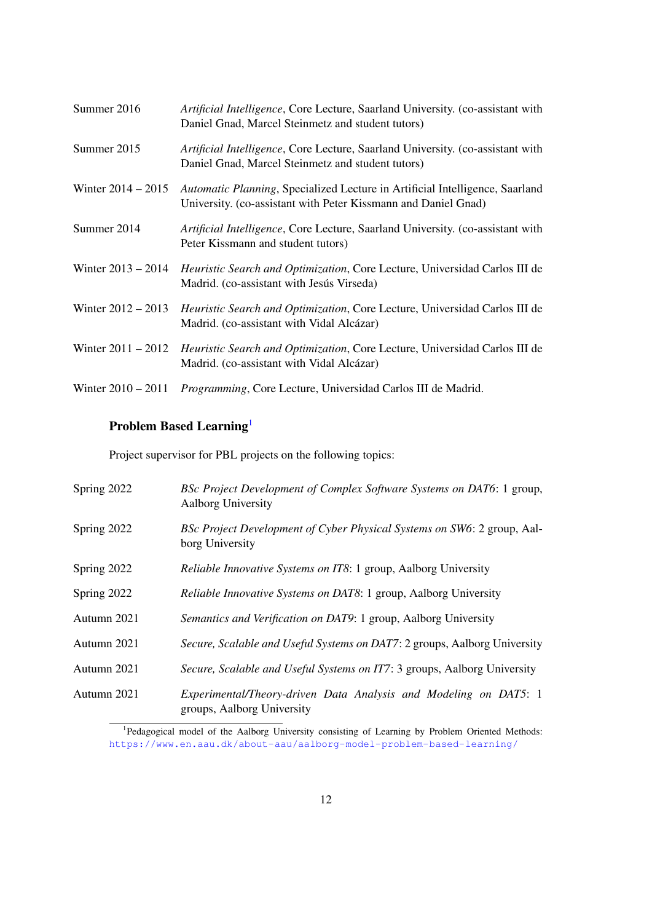| Summer 2016          | Artificial Intelligence, Core Lecture, Saarland University. (co-assistant with<br>Daniel Gnad, Marcel Steinmetz and student tutors)            |
|----------------------|------------------------------------------------------------------------------------------------------------------------------------------------|
| Summer 2015          | Artificial Intelligence, Core Lecture, Saarland University. (co-assistant with<br>Daniel Gnad, Marcel Steinmetz and student tutors)            |
| Winter $2014 - 2015$ | Automatic Planning, Specialized Lecture in Artificial Intelligence, Saarland<br>University. (co-assistant with Peter Kissmann and Daniel Gnad) |
| Summer 2014          | Artificial Intelligence, Core Lecture, Saarland University. (co-assistant with<br>Peter Kissmann and student tutors)                           |
| Winter $2013 - 2014$ | Heuristic Search and Optimization, Core Lecture, Universidad Carlos III de<br>Madrid. (co-assistant with Jesús Virseda)                        |
| Winter $2012 - 2013$ | Heuristic Search and Optimization, Core Lecture, Universidad Carlos III de<br>Madrid. (co-assistant with Vidal Alcázar)                        |
| Winter $2011 - 2012$ | Heuristic Search and Optimization, Core Lecture, Universidad Carlos III de<br>Madrid. (co-assistant with Vidal Alcázar)                        |
| Winter $2010 - 2011$ | <i>Programming, Core Lecture, Universidad Carlos III de Madrid.</i>                                                                            |

# Problem Based Learning<sup>[1](#page-11-0)</sup>

Project supervisor for PBL projects on the following topics:

| Spring 2022 | BSc Project Development of Complex Software Systems on DAT6: 1 group,<br><b>Aalborg University</b> |
|-------------|----------------------------------------------------------------------------------------------------|
| Spring 2022 | BSc Project Development of Cyber Physical Systems on SW6: 2 group, Aal-<br>borg University         |
| Spring 2022 | <i>Reliable Innovative Systems on IT8</i> : 1 group, Aalborg University                            |
| Spring 2022 | <i>Reliable Innovative Systems on DAT8</i> : 1 group, Aalborg University                           |
| Autumn 2021 | Semantics and Verification on DAT9: 1 group, Aalborg University                                    |
| Autumn 2021 | Secure, Scalable and Useful Systems on DAT7: 2 groups, Aalborg University                          |
| Autumn 2021 | Secure, Scalable and Useful Systems on IT7: 3 groups, Aalborg University                           |
| Autumn 2021 | Experimental/Theory-driven Data Analysis and Modeling on DAT5: 1<br>groups, Aalborg University     |

<span id="page-11-0"></span><sup>1</sup>Pedagogical model of the Aalborg University consisting of Learning by Problem Oriented Methods: <https://www.en.aau.dk/about-aau/aalborg-model-problem-based-learning/>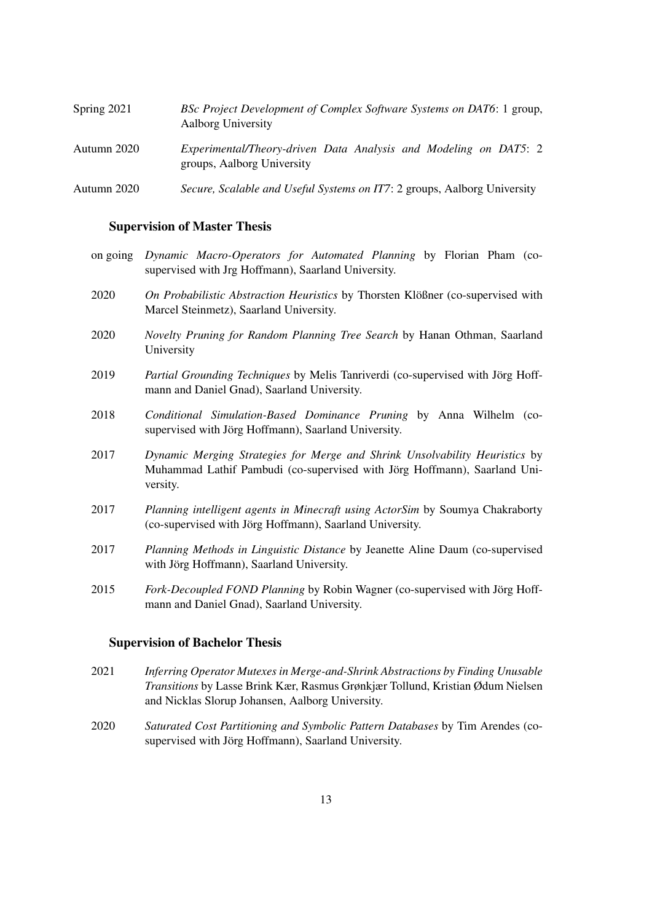| Spring 2021 | BSc Project Development of Complex Software Systems on DAT6: 1 group,<br>Aalborg University    |
|-------------|------------------------------------------------------------------------------------------------|
| Autumn 2020 | Experimental/Theory-driven Data Analysis and Modeling on DAT5: 2<br>groups, Aalborg University |
| Autumn 2020 | Secure, Scalable and Useful Systems on IT7: 2 groups, Aalborg University                       |

#### Supervision of Master Thesis

- on going *Dynamic Macro-Operators for Automated Planning* by Florian Pham (cosupervised with Jrg Hoffmann), Saarland University.
- 2020 *On Probabilistic Abstraction Heuristics* by Thorsten Klößner (co-supervised with Marcel Steinmetz), Saarland University.
- 2020 *Novelty Pruning for Random Planning Tree Search* by Hanan Othman, Saarland University
- 2019 *Partial Grounding Techniques* by Melis Tanriverdi (co-supervised with Jorg Hoff- ¨ mann and Daniel Gnad), Saarland University.
- 2018 *Conditional Simulation-Based Dominance Pruning* by Anna Wilhelm (cosupervised with Jörg Hoffmann), Saarland University.
- 2017 *Dynamic Merging Strategies for Merge and Shrink Unsolvability Heuristics* by Muhammad Lathif Pambudi (co-supervised with Jörg Hoffmann), Saarland University.
- 2017 *Planning intelligent agents in Minecraft using ActorSim* by Soumya Chakraborty (co-supervised with Jörg Hoffmann), Saarland University.
- 2017 *Planning Methods in Linguistic Distance* by Jeanette Aline Daum (co-supervised with Jörg Hoffmann), Saarland University.
- 2015 *Fork-Decoupled FOND Planning* by Robin Wagner (co-supervised with Jörg Hoffmann and Daniel Gnad), Saarland University.

#### Supervision of Bachelor Thesis

- 2021 *Inferring Operator Mutexes in Merge-and-Shrink Abstractions by Finding Unusable Transitions* by Lasse Brink Kær, Rasmus Grønkjær Tollund, Kristian Ødum Nielsen and Nicklas Slorup Johansen, Aalborg University.
- 2020 *Saturated Cost Partitioning and Symbolic Pattern Databases* by Tim Arendes (cosupervised with Jörg Hoffmann), Saarland University.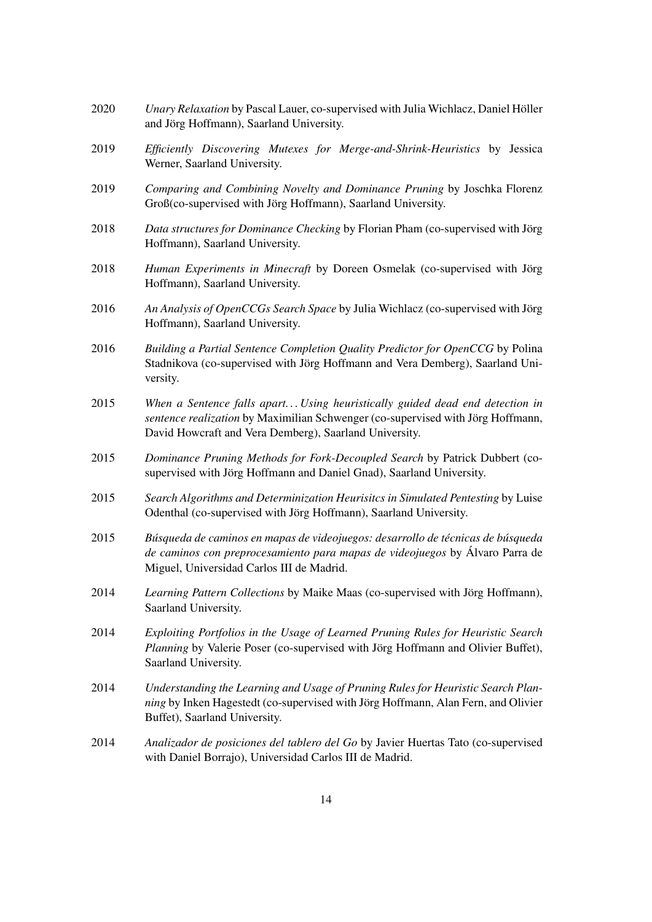| 2020 | Unary Relaxation by Pascal Lauer, co-supervised with Julia Wichlacz, Daniel Höller<br>and Jörg Hoffmann), Saarland University.                                                                                            |
|------|---------------------------------------------------------------------------------------------------------------------------------------------------------------------------------------------------------------------------|
| 2019 | Efficiently Discovering Mutexes for Merge-and-Shrink-Heuristics by Jessica<br>Werner, Saarland University.                                                                                                                |
| 2019 | Comparing and Combining Novelty and Dominance Pruning by Joschka Florenz<br>Groß(co-supervised with Jörg Hoffmann), Saarland University.                                                                                  |
| 2018 | Data structures for Dominance Checking by Florian Pham (co-supervised with Jörg<br>Hoffmann), Saarland University.                                                                                                        |
| 2018 | Human Experiments in Minecraft by Doreen Osmelak (co-supervised with Jörg<br>Hoffmann), Saarland University.                                                                                                              |
| 2016 | An Analysis of OpenCCGs Search Space by Julia Wichlacz (co-supervised with Jörg<br>Hoffmann), Saarland University.                                                                                                        |
| 2016 | Building a Partial Sentence Completion Quality Predictor for OpenCCG by Polina<br>Stadnikova (co-supervised with Jörg Hoffmann and Vera Demberg), Saarland Uni-<br>versity.                                               |
| 2015 | When a Sentence falls apart Using heuristically guided dead end detection in<br>sentence realization by Maximilian Schwenger (co-supervised with Jörg Hoffmann,<br>David Howcraft and Vera Demberg), Saarland University. |
| 2015 | Dominance Pruning Methods for Fork-Decoupled Search by Patrick Dubbert (co-<br>supervised with Jörg Hoffmann and Daniel Gnad), Saarland University.                                                                       |
| 2015 | Search Algorithms and Determinization Heurisitcs in Simulated Pentesting by Luise<br>Odenthal (co-supervised with Jörg Hoffmann), Saarland University.                                                                    |
| 2015 | Búsqueda de caminos en mapas de videojuegos: desarrollo de técnicas de búsqueda<br>de caminos con preprocesamiento para mapas de videojuegos by Álvaro Parra de<br>Miguel, Universidad Carlos III de Madrid.              |
| 2014 | Learning Pattern Collections by Maike Maas (co-supervised with Jörg Hoffmann),<br>Saarland University.                                                                                                                    |
| 2014 | Exploiting Portfolios in the Usage of Learned Pruning Rules for Heuristic Search<br>Planning by Valerie Poser (co-supervised with Jörg Hoffmann and Olivier Buffet),<br>Saarland University.                              |
| 2014 | Understanding the Learning and Usage of Pruning Rules for Heuristic Search Plan-<br>ning by Inken Hagestedt (co-supervised with Jörg Hoffmann, Alan Fern, and Olivier<br>Buffet), Saarland University.                    |
| 2014 | Analizador de posiciones del tablero del Go by Javier Huertas Tato (co-supervised<br>with Daniel Borrajo), Universidad Carlos III de Madrid.                                                                              |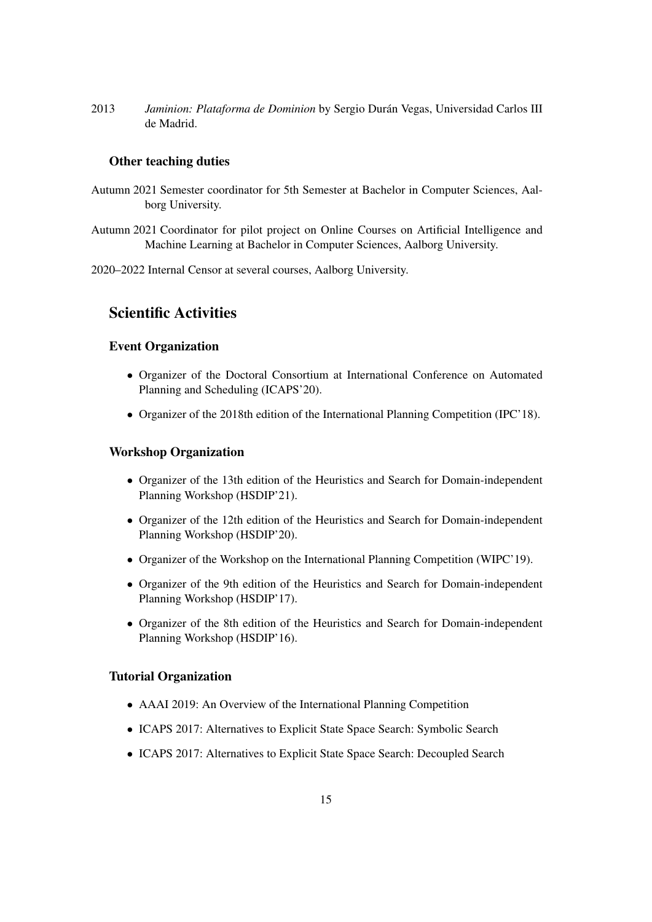2013 *Jaminion: Plataforma de Dominion* by Sergio Durán Vegas, Universidad Carlos III de Madrid.

### Other teaching duties

- Autumn 2021 Semester coordinator for 5th Semester at Bachelor in Computer Sciences, Aalborg University.
- Autumn 2021 Coordinator for pilot project on Online Courses on Artificial Intelligence and Machine Learning at Bachelor in Computer Sciences, Aalborg University.
- 2020–2022 Internal Censor at several courses, Aalborg University.

# Scientific Activities

#### Event Organization

- Organizer of the Doctoral Consortium at International Conference on Automated Planning and Scheduling (ICAPS'20).
- Organizer of the 2018th edition of the International Planning Competition (IPC'18).

#### Workshop Organization

- Organizer of the 13th edition of the Heuristics and Search for Domain-independent Planning Workshop (HSDIP'21).
- Organizer of the 12th edition of the Heuristics and Search for Domain-independent Planning Workshop (HSDIP'20).
- Organizer of the Workshop on the International Planning Competition (WIPC'19).
- Organizer of the 9th edition of the Heuristics and Search for Domain-independent Planning Workshop (HSDIP'17).
- Organizer of the 8th edition of the Heuristics and Search for Domain-independent Planning Workshop (HSDIP'16).

#### Tutorial Organization

- AAAI 2019: An Overview of the International Planning Competition
- ICAPS 2017: Alternatives to Explicit State Space Search: Symbolic Search
- ICAPS 2017: Alternatives to Explicit State Space Search: Decoupled Search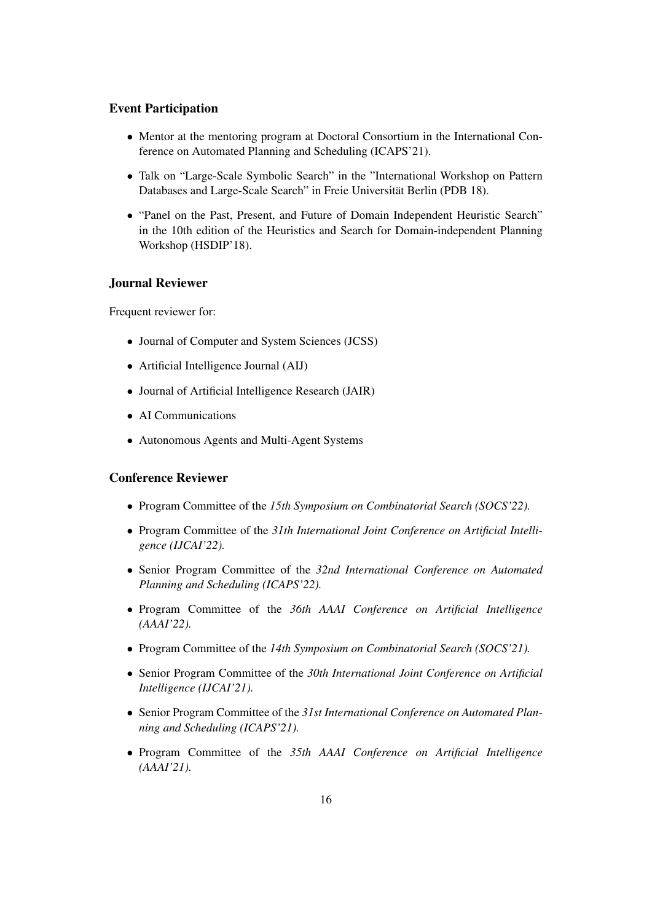### Event Participation

- Mentor at the mentoring program at Doctoral Consortium in the International Conference on Automated Planning and Scheduling (ICAPS'21).
- Talk on "Large-Scale Symbolic Search" in the "International Workshop on Pattern Databases and Large-Scale Search" in Freie Universität Berlin (PDB 18).
- "Panel on the Past, Present, and Future of Domain Independent Heuristic Search" in the 10th edition of the Heuristics and Search for Domain-independent Planning Workshop (HSDIP'18).

### Journal Reviewer

Frequent reviewer for:

- Journal of Computer and System Sciences (JCSS)
- Artificial Intelligence Journal (AIJ)
- Journal of Artificial Intelligence Research (JAIR)
- AI Communications
- Autonomous Agents and Multi-Agent Systems

### Conference Reviewer

- Program Committee of the *15th Symposium on Combinatorial Search (SOCS'22).*
- Program Committee of the *31th International Joint Conference on Artificial Intelligence (IJCAI'22).*
- Senior Program Committee of the *32nd International Conference on Automated Planning and Scheduling (ICAPS'22).*
- Program Committee of the *36th AAAI Conference on Artificial Intelligence (AAAI'22).*
- Program Committee of the *14th Symposium on Combinatorial Search (SOCS'21).*
- Senior Program Committee of the *30th International Joint Conference on Artificial Intelligence (IJCAI'21).*
- Senior Program Committee of the *31st International Conference on Automated Planning and Scheduling (ICAPS'21).*
- Program Committee of the *35th AAAI Conference on Artificial Intelligence (AAAI'21).*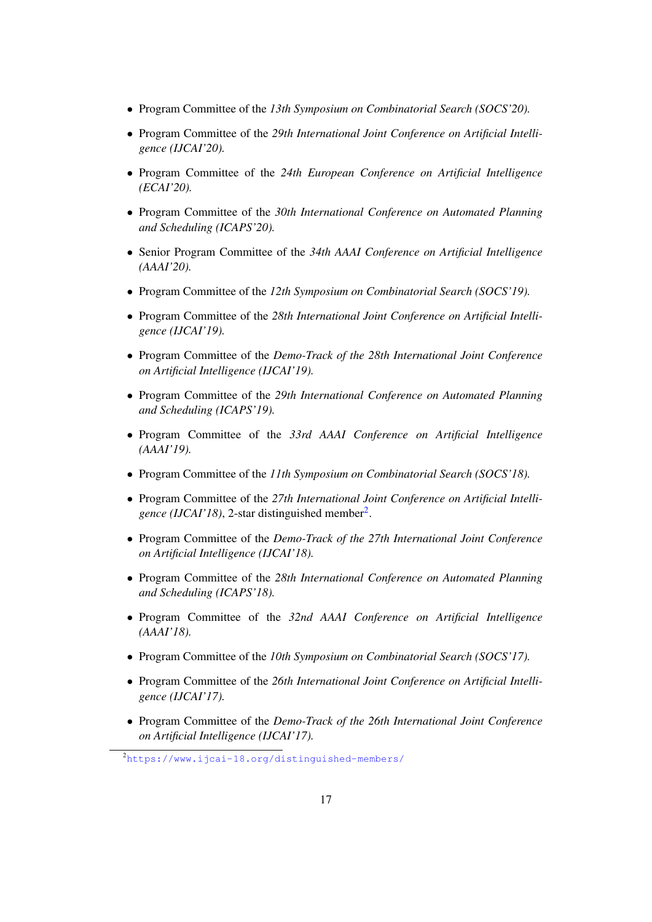- Program Committee of the *13th Symposium on Combinatorial Search (SOCS'20).*
- Program Committee of the *29th International Joint Conference on Artificial Intelligence (IJCAI'20).*
- Program Committee of the *24th European Conference on Artificial Intelligence (ECAI'20).*
- Program Committee of the *30th International Conference on Automated Planning and Scheduling (ICAPS'20).*
- Senior Program Committee of the *34th AAAI Conference on Artificial Intelligence (AAAI'20).*
- Program Committee of the *12th Symposium on Combinatorial Search (SOCS'19).*
- Program Committee of the *28th International Joint Conference on Artificial Intelligence (IJCAI'19).*
- Program Committee of the *Demo-Track of the 28th International Joint Conference on Artificial Intelligence (IJCAI'19).*
- Program Committee of the *29th International Conference on Automated Planning and Scheduling (ICAPS'19).*
- Program Committee of the *33rd AAAI Conference on Artificial Intelligence (AAAI'19).*
- Program Committee of the *11th Symposium on Combinatorial Search (SOCS'18).*
- Program Committee of the *27th International Joint Conference on Artificial Intelli-*gence (IJCAI'18), [2](#page-16-0)-star distinguished member<sup>2</sup>.
- Program Committee of the *Demo-Track of the 27th International Joint Conference on Artificial Intelligence (IJCAI'18).*
- Program Committee of the *28th International Conference on Automated Planning and Scheduling (ICAPS'18).*
- Program Committee of the *32nd AAAI Conference on Artificial Intelligence (AAAI'18).*
- Program Committee of the *10th Symposium on Combinatorial Search (SOCS'17).*
- Program Committee of the *26th International Joint Conference on Artificial Intelligence (IJCAI'17).*
- Program Committee of the *Demo-Track of the 26th International Joint Conference on Artificial Intelligence (IJCAI'17).*

<span id="page-16-0"></span><sup>2</sup><https://www.ijcai-18.org/distinguished-members/>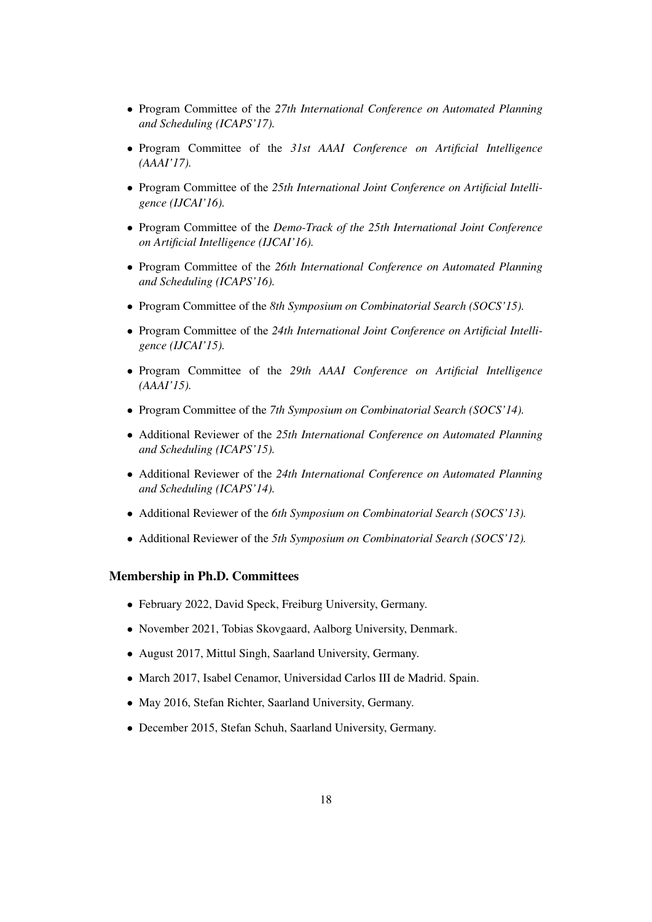- Program Committee of the *27th International Conference on Automated Planning and Scheduling (ICAPS'17).*
- Program Committee of the *31st AAAI Conference on Artificial Intelligence (AAAI'17).*
- Program Committee of the *25th International Joint Conference on Artificial Intelligence (IJCAI'16).*
- Program Committee of the *Demo-Track of the 25th International Joint Conference on Artificial Intelligence (IJCAI'16).*
- Program Committee of the *26th International Conference on Automated Planning and Scheduling (ICAPS'16).*
- Program Committee of the *8th Symposium on Combinatorial Search (SOCS'15).*
- Program Committee of the *24th International Joint Conference on Artificial Intelligence (IJCAI'15).*
- Program Committee of the *29th AAAI Conference on Artificial Intelligence (AAAI'15).*
- Program Committee of the *7th Symposium on Combinatorial Search (SOCS'14).*
- Additional Reviewer of the *25th International Conference on Automated Planning and Scheduling (ICAPS'15).*
- Additional Reviewer of the *24th International Conference on Automated Planning and Scheduling (ICAPS'14).*
- Additional Reviewer of the *6th Symposium on Combinatorial Search (SOCS'13).*
- Additional Reviewer of the *5th Symposium on Combinatorial Search (SOCS'12).*

### Membership in Ph.D. Committees

- February 2022, David Speck, Freiburg University, Germany.
- November 2021, Tobias Skovgaard, Aalborg University, Denmark.
- August 2017, Mittul Singh, Saarland University, Germany.
- March 2017, Isabel Cenamor, Universidad Carlos III de Madrid. Spain.
- May 2016, Stefan Richter, Saarland University, Germany.
- December 2015, Stefan Schuh, Saarland University, Germany.